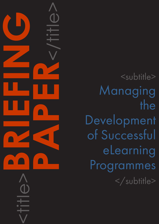<subtitle> Managing the Development of Successful eLearning Programmes </subtitle>

<title>**BRIEFING PAPER**<br>CONSTRAINS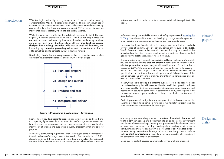### CAPDM Ltd. CAPDM Ltd.

Introduction 60 With the high availability and growing ease of use of on-line learning environments like Moodle, Blackboard and Canvas, it has become much easier to create on-line courses. However this ease – which often means hand-building courses directly in the virtual learning environment (VLE) – comes at a cost, as institutional design, strategy, vision, etc. are usually ignored.

> While it may seem cost-effective for individual educators to build this way, it quickly becomes prohibitive when this is scaled up for programmes that are seriously used and tested by hundreds of students undertaking a whole programme. Such larger developments benefit from standardised course designs, from applying specialist skills such as graphical illustrating, and from adopting **content engineering** techniques to reduce the level of hand editing involved and to generate outputs in multiple formats.

> Developing affordable eLearning programmes that can scale therefore requires a different development approach, and one with four key stages:

Plan and prepare

us know, and we'll aim to incorporate your comments into future updates to this paper.

Before continuing, you might like to read our briefing paper entitled ["Avoiding the](http://www.capdm.co.uk/avoiding-the-vle-trap/)  [VLE Trap](http://www.capdm.co.uk/avoiding-the-vle-trap/)" to understand the reason for developing a programme independently of any existing learning management system you may already have.

Next, note that if your intention is to build a programme that will attract hundreds or thousands of students, you are actually setting out to build a **business**. Why? Because to service that level of commercial activity, you need all the administration, technical, product development and business infrastructure that good quality education service providers must have.

If you are trying to do it from within an existing institution (College or University), you are unlikely to find the **student oriented** administration systems or costeffective **production expertise** you will need in-house. You will probably encounter **barriers** to operating efficiently, such as the ability to personally reward and motivate subject authors to deliver materials on-time and to specification, or constraints that restrain you from minimising the cost of the human components of your programme, preventing you from reaching breakeven in a reasonable time scale.

In short, you need to develop a plan for the business. For that you need to: model the business in a way that will: remove all barriers to efficient operation; address and resource all key business processes including sales, academic support and accreditation; secure the commitment of essential third party partners; and share the eventual rewards appropriately, according to contribution and the level of risk adopted.

Product (programme) design is a key component of the business model for eLearning. It needs to be complete for each of the markets you target, and this is an important consideration for the next stage.

eLearning programme design takes a selection of content, human and technology components and builds them into an on-line course environment that fosters effective teaching, learning and professional development. Each of these three components can play a leading role in the design, but content in particular is important for coping with large volumes of self-motivated distance learners. Many people know this stage as 'instructional design' but we prefer to call it **content interpretation** – and there are many possible interpretations if the content is rich in structure and semantics.

Good quality content, sourced appropriately, written well and produced



Figure 1: Programme Development - Key Stages

Each of the four key development stages contains key issues to be addressed, and this paper highlights some of the key ones. Successful programme development is not the same as programme delivery, which comes later on, usually after many years of offering and supporting a quality programme that proves fit for purpose.

We've only built twenty programmes so far - the biggest being the largest nontutored on-line eMBA programme in the World. This currently has 11,800+ students on it, and it has generated more than £150 million for Edinburgh Business School since its launch. If you have experience beyond this please let

Design and author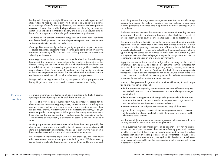### CAPDM Ltd. CAPDM Ltd.

# Produce and test

flexibly, will also support multiple different study modes – from independent selfstudy to face-to-face classroom delivery. It can be readily adapted to address a 'course map' of specific learning objectives, and assessed to deliver personal outcomes. It can also provide independence from learning management systems and subjective instructional design, and it can (and should) form the basis of a tacit repository of knowledge for any subject or profession.

Standards based content, formatted using XML and other open standards, enables the development of a vendor-independent repository of content assets, which appreciate in value in time and re-use.

Good quality content readily available, greatly supports the people component of course design too, equipping tutors or learning support staff with time saving resources addressing difficult issues, and helping students to assess their suitability for the course.

eLearning content authors don't need to know the details of the technologies being used, but do need an appreciation of the benefits of interactive content delivery so they can use them to best effect. Embedded applet simulations can turn a dull tutorial into an interesting exploration of an algorithm or a dynamic colour design wheel. Knowledge of question types that go beyond simple multiple-choice questions and rubrics that enrich feedback to students, can turn on-line assessments into much more formative learning experiences.

Design and authoring is where the key components of the programme are brought together to make a successful, sustainable commercial offering.

eLearning programme production is all about producing the highest-possible quality product and putting it 'on the shelf' for sales and use.

The cost of a fully-skilled production team may be difficult to absorb for the development of one eLearning programme, particularly as this is a long-term cost and commitment and one cannot be certain about sustained success. There is a dilemma. Do you invest in your own in-house team permanently, or do you outsource production completely? What you will obviously retain in-house is those elements that you are good at – the development of educational content – but anything else is probably a distraction at best or a financial millstone at worst.

Funding a permanent production team of at least three and probably five developers is expensive, and re-skilling them in single source publishing with standards is technically challenging. This is one reason why the temptation to hand-build in HTML within a VLE is still considered to be an option.

Few educational institutions cope well with this challenge, and even fewer education business start-ups manage this in the long term. While outsourcing is an attractive solution to this problem, in practice it can lead to loss of control,

particularly where the programme management team isn't technically strong enough to evaluate the different possible technical options in producing eLearning materials, and hence able to appreciate their asset-building value to the business.

The key in choosing between these options is to understand from day one that a large part of building an eLearning business is about building a domain of reusable learning materials, fit for any task the business and educators need.

This means investing in flexibility, semantic mark-up (as embodied in an XML approach), and an information architecture that extends across all of your content to provide operating consistency and efficiency. In parallel, build the production tool capability you need to output from the domain. Be able to batch typeset complete course sets in minutes to professional print standards, and batch generate thousands of web pages from your learning materials masters in seconds, to load into your on-line learning environments.

Apply the necessary but expensive design effort sparingly at the start of programme development, to establish the semantic content templates for your critical course components (study guides, lessons, tutorials, assessments, case studies, discussion papers). Don't use it to build the actual components themselves. Instead, content engineer the remaining volume of them using well trained authors to provide all the necessary materials, and suitable developers to capture the content semantically in large volumes.

In short, unless you are a large education provider with money to retain large teams of developers permanently:

- •find a production capability that is smart at the start, efficient during the volume build, and not a cost millstone around you neck when you no longer need all of it;
- •keep minimal management and design skills permanently in-house, and outsource the rest to teams constantly developing new programmes for multiple education providers and programme designs;
- insist on standards based production where you keep all the assets;
- put in place a long term content maintenance agreement to start at the end of the production phase, to retain the ability to update re-produce, and to cherish the assets created.

Get this part of the programme development process right, and you will have the 'engine room' in place for your eLearning business.

Testing eLearning materials thoroughly can be expensive, but having singlemaster sources of your materials offers unique efficiency gains and business benefits. Custom test datasets can be rapidly generated for specific testing purposes such as proof-checking or copy editing. Automated test queries can be run across the structured masters, looking for critical omissions or inclusions using the semantic context to spot them e.g. missing or out-of-range mark values in assessment questions.